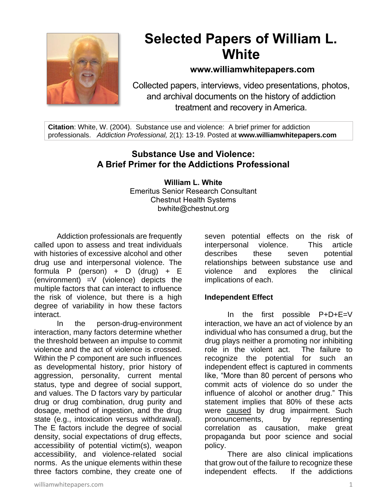

# **Selected Papers of William L. White**

# **www.williamwhitepapers.com**

Collected papers, interviews, video presentations, photos, and archival documents on the history of addiction treatment and recovery in America.

**Citation**: White, W. (2004). Substance use and violence: A brief primer for addiction professionals. *Addiction Professional,* 2(1): 13-19. Posted at **www.williamwhitepapers.com**

# **Substance Use and Violence: A Brief Primer for the Addictions Professional**

**William L. White** Emeritus Senior Research Consultant Chestnut Health Systems bwhite@chestnut.org

Addiction professionals are frequently called upon to assess and treat individuals with histories of excessive alcohol and other drug use and interpersonal violence. The formula P (person) + D (drug) + E (environment) =V (violence) depicts the multiple factors that can interact to influence the risk of violence, but there is a high degree of variability in how these factors interact.

In the person-drug-environment interaction, many factors determine whether the threshold between an impulse to commit violence and the act of violence is crossed. Within the P component are such influences as developmental history, prior history of aggression, personality, current mental status, type and degree of social support, and values. The D factors vary by particular drug or drug combination, drug purity and dosage, method of ingestion, and the drug state (e.g., intoxication versus withdrawal). The E factors include the degree of social density, social expectations of drug effects, accessibility of potential victim(s), weapon accessibility, and violence-related social norms. As the unique elements within these three factors combine, they create one of

seven potential effects on the risk of interpersonal violence. This article describes these seven potential relationships between substance use and violence and explores the clinical implications of each.

## **Independent Effect**

In the first possible P+D+E=V interaction, we have an act of violence by an individual who has consumed a drug, but the drug plays neither a promoting nor inhibiting role in the violent act. The failure to recognize the potential for such an independent effect is captured in comments like, "More than 80 percent of persons who commit acts of violence do so under the influence of alcohol or another drug." This statement implies that 80% of these acts were caused by drug impairment. Such pronouncements, by representing correlation as causation, make great propaganda but poor science and social policy.

There are also clinical implications that grow out of the failure to recognize these<br>independent effects. If the addictions independent effects.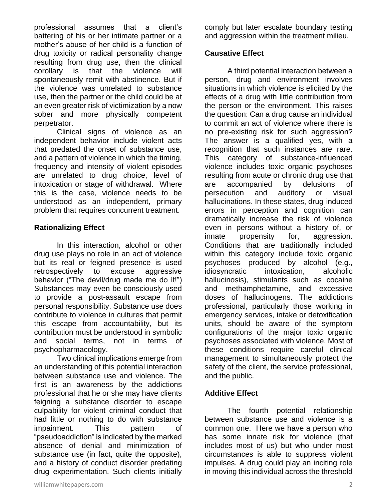professional assumes that a client's battering of his or her intimate partner or a mother's abuse of her child is a function of drug toxicity or radical personality change resulting from drug use, then the clinical corollary is that the violence will spontaneously remit with abstinence. But if the violence was unrelated to substance use, then the partner or the child could be at an even greater risk of victimization by a now sober and more physically competent perpetrator.

Clinical signs of violence as an independent behavior include violent acts that predated the onset of substance use, and a pattern of violence in which the timing, frequency and intensity of violent episodes are unrelated to drug choice, level of intoxication or stage of withdrawal. Where this is the case, violence needs to be understood as an independent, primary problem that requires concurrent treatment.

#### **Rationalizing Effect**

In this interaction, alcohol or other drug use plays no role in an act of violence but its real or feigned presence is used retrospectively to excuse aggressive behavior ("The devil/drug made me do it!") Substances may even be consciously used to provide a post-assault escape from personal responsibility. Substance use does contribute to violence in cultures that permit this escape from accountability, but its contribution must be understood in symbolic and social terms, not in terms of psychopharmacology.

Two clinical implications emerge from an understanding of this potential interaction between substance use and violence. The first is an awareness by the addictions professional that he or she may have clients feigning a substance disorder to escape culpability for violent criminal conduct that had little or nothing to do with substance impairment. This pattern of "pseudoaddiction" is indicated by the marked absence of denial and minimization of substance use (in fact, quite the opposite), and a history of conduct disorder predating drug experimentation. Such clients initially comply but later escalate boundary testing and aggression within the treatment milieu.

#### **Causative Effect**

A third potential interaction between a person, drug and environment involves situations in which violence is elicited by the effects of a drug with little contribution from the person or the environment. This raises the question: Can a drug cause an individual to commit an act of violence where there is no pre-existing risk for such aggression? The answer is a qualified yes, with a recognition that such instances are rare. This category of substance-influenced violence includes toxic organic psychoses resulting from acute or chronic drug use that are accompanied by delusions of persecution and auditory or visual hallucinations. In these states, drug-induced errors in perception and cognition can dramatically increase the risk of violence even in persons without a history of, or innate propensity for, aggression. Conditions that are traditionally included within this category include toxic organic psychoses produced by alcohol (e.g., idiosyncratic intoxication, alcoholic hallucinosis), stimulants such as cocaine and methamphetamine, and excessive doses of hallucinogens. The addictions professional, particularly those working in emergency services, intake or detoxification units, should be aware of the symptom configurations of the major toxic organic psychoses associated with violence. Most of these conditions require careful clinical management to simultaneously protect the safety of the client, the service professional, and the public.

#### **Additive Effect**

The fourth potential relationship between substance use and violence is a common one. Here we have a person who has some innate risk for violence (that includes most of us) but who under most circumstances is able to suppress violent impulses. A drug could play an inciting role in moving this individual across the threshold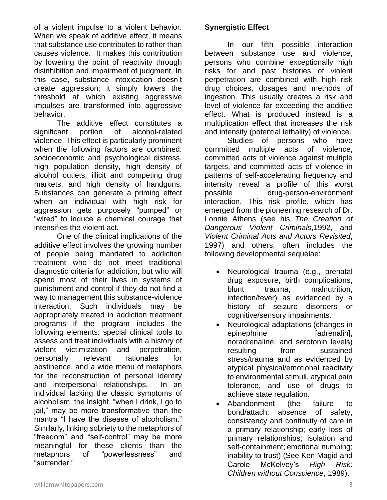of a violent impulse to a violent behavior. When we speak of additive effect, it means that substance use contributes to rather than causes violence. It makes this contribution by lowering the point of reactivity through disinhibition and impairment of judgment. In this case, substance intoxication doesn't create aggression; it simply lowers the threshold at which existing aggressive impulses are transformed into aggressive behavior.

The additive effect constitutes a significant portion of alcohol-related violence. This effect is particularly prominent when the following factors are combined: socioeconomic and psychological distress, high population density, high density of alcohol outlets, illicit and competing drug markets, and high density of handguns. Substances can generate a priming effect when an individual with high risk for aggression gets purposely "pumped" or "wired" to induce a chemical courage that intensifies the violent act.

One of the clinical implications of the additive effect involves the growing number of people being mandated to addiction treatment who do not meet traditional diagnostic criteria for addiction, but who will spend most of their lives in systems of punishment and control if they do not find a way to management this substance-violence interaction. Such individuals may be appropriately treated in addiction treatment programs if the program includes the following elements: special clinical tools to assess and treat individuals with a history of violent victimization and perpetration, personally relevant rationales for abstinence, and a wide menu of metaphors for the reconstruction of personal identity and interpersonal relationships. In an individual lacking the classic symptoms of alcoholism, the insight, "when I drink, I go to jail," may be more transformative than the mantra "I have the disease of alcoholism." Similarly, linking sobriety to the metaphors of "freedom" and "self-control" may be more meaningful for these clients than the metaphors of "powerlessness" and "surrender."

## **Synergistic Effect**

In our fifth possible interaction between substance use and violence, persons who combine exceptionally high risks for and past histories of violent perpetration are combined with high risk drug choices, dosages and methods of ingestion. This usually creates a risk and level of violence far exceeding the additive effect. What is produced instead is a multiplication effect that increases the risk and intensity (potential lethality) of violence.

Studies of persons who have committed multiple acts of violence, committed acts of violence against multiple targets, and committed acts of violence in patterns of self-accelerating frequency and intensity reveal a profile of this worst possible drug-person-environment interaction. This risk profile, which has emerged from the pioneering research of Dr. Lonnie Athens (see his *The Creation of Dangerous Violent Criminals*,1992, and *Violent Criminal Acts and Actors Revisited*, 1997) and others, often includes the following developmental sequelae:

- Neurological trauma (e.g., prenatal drug exposure, birth complications, blunt trauma, malnutrition, infection/fever) as evidenced by a history of seizure disorders or cognitive/sensory impairments.
- Neurological adaptations (changes in epinephrine [adrenalin], noradrenaline, and serotonin levels) resulting from sustained stress/trauma and as evidenced by atypical physical/emotional reactivity to environmental stimuli, atypical pain tolerance, and use of drugs to achieve state regulation.
- Abandonment (the failure to bond/attach; absence of safety, consistency and continuity of care in a primary relationship; early loss of primary relationships; isolation and self-containment; emotional numbing; inability to trust) (See Ken Magid and Carole McKelvey's *High Risk: Children without Conscience*, 1989).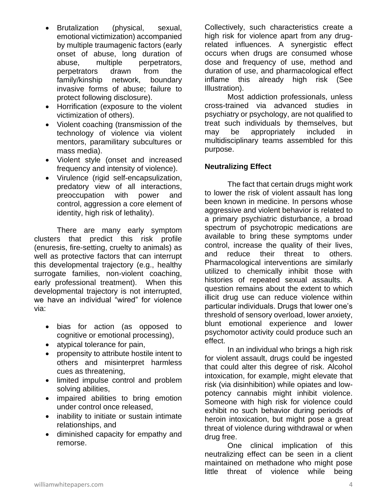- Brutalization (physical, sexual, emotional victimization) accompanied by multiple traumagenic factors (early onset of abuse, long duration of abuse, multiple perpetrators, perpetrators drawn from the family/kinship network, boundary invasive forms of abuse; failure to protect following disclosure).
- Horrification (exposure to the violent victimization of others).
- Violent coaching (transmission of the technology of violence via violent mentors, paramilitary subcultures or mass media).
- Violent style (onset and increased frequency and intensity of violence).
- Virulence (rigid self-encapsulization, predatory view of all interactions, preoccupation with power and control, aggression a core element of identity, high risk of lethality).

There are many early symptom clusters that predict this risk profile (enuresis, fire-setting, cruelty to animals) as well as protective factors that can interrupt this developmental trajectory (e.g., healthy surrogate families, non-violent coaching, early professional treatment). When this developmental trajectory is not interrupted, we have an individual "wired" for violence via:

- bias for action (as opposed to cognitive or emotional processing),
- atypical tolerance for pain,
- propensity to attribute hostile intent to others and misinterpret harmless cues as threatening,
- limited impulse control and problem solving abilities,
- impaired abilities to bring emotion under control once released,
- inability to initiate or sustain intimate relationships, and
- diminished capacity for empathy and remorse.

Collectively, such characteristics create a high risk for violence apart from any drugrelated influences. A synergistic effect occurs when drugs are consumed whose dose and frequency of use, method and duration of use, and pharmacological effect inflame this already high risk (See Illustration).

Most addiction professionals, unless cross-trained via advanced studies in psychiatry or psychology, are not qualified to treat such individuals by themselves, but may be appropriately included in multidisciplinary teams assembled for this purpose.

## **Neutralizing Effect**

The fact that certain drugs might work to lower the risk of violent assault has long been known in medicine. In persons whose aggressive and violent behavior is related to a primary psychiatric disturbance, a broad spectrum of psychotropic medications are available to bring these symptoms under control, increase the quality of their lives, and reduce their threat to others. Pharmacological interventions are similarly utilized to chemically inhibit those with histories of repeated sexual assaults. A question remains about the extent to which illicit drug use can reduce violence within particular individuals. Drugs that lower one's threshold of sensory overload, lower anxiety, blunt emotional experience and lower psychomotor activity could produce such an effect.

In an individual who brings a high risk for violent assault, drugs could be ingested that could alter this degree of risk. Alcohol intoxication, for example, might elevate that risk (via disinhibition) while opiates and lowpotency cannabis might inhibit violence. Someone with high risk for violence could exhibit no such behavior during periods of heroin intoxication, but might pose a great threat of violence during withdrawal or when drug free.

One clinical implication of this neutralizing effect can be seen in a client maintained on methadone who might pose little threat of violence while being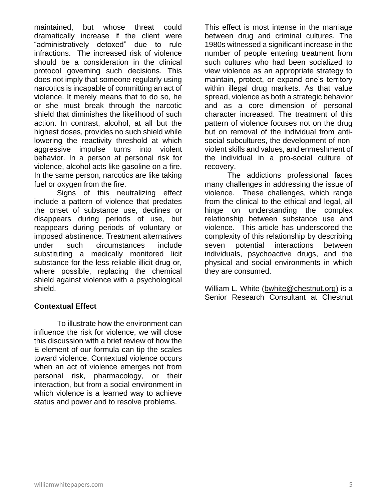maintained, but whose threat could dramatically increase if the client were "administratively detoxed" due to rule infractions. The increased risk of violence should be a consideration in the clinical protocol governing such decisions. This does not imply that someone regularly using narcotics is incapable of committing an act of violence. It merely means that to do so, he or she must break through the narcotic shield that diminishes the likelihood of such action. In contrast, alcohol, at all but the highest doses, provides no such shield while lowering the reactivity threshold at which aggressive impulse turns into violent behavior. In a person at personal risk for violence, alcohol acts like gasoline on a fire. In the same person, narcotics are like taking fuel or oxygen from the fire.

Signs of this neutralizing effect include a pattern of violence that predates the onset of substance use, declines or disappears during periods of use, but reappears during periods of voluntary or imposed abstinence. Treatment alternatives under such circumstances include substituting a medically monitored licit substance for the less reliable illicit drug or, where possible, replacing the chemical shield against violence with a psychological shield.

#### **Contextual Effect**

To illustrate how the environment can influence the risk for violence, we will close this discussion with a brief review of how the E element of our formula can tip the scales toward violence. Contextual violence occurs when an act of violence emerges not from personal risk, pharmacology, or their interaction, but from a social environment in which violence is a learned way to achieve status and power and to resolve problems.

This effect is most intense in the marriage between drug and criminal cultures. The 1980s witnessed a significant increase in the number of people entering treatment from such cultures who had been socialized to view violence as an appropriate strategy to maintain, protect, or expand one's territory within illegal drug markets. As that value spread, violence as both a strategic behavior and as a core dimension of personal character increased. The treatment of this pattern of violence focuses not on the drug but on removal of the individual from antisocial subcultures, the development of nonviolent skills and values, and enmeshment of the individual in a pro-social culture of recovery.

The addictions professional faces many challenges in addressing the issue of violence. These challenges, which range from the clinical to the ethical and legal, all hinge on understanding the complex relationship between substance use and violence. This article has underscored the complexity of this relationship by describing seven potential interactions between individuals, psychoactive drugs, and the physical and social environments in which they are consumed.

William L. White (bwhite@chestnut.org) is a Senior Research Consultant at Chestnut